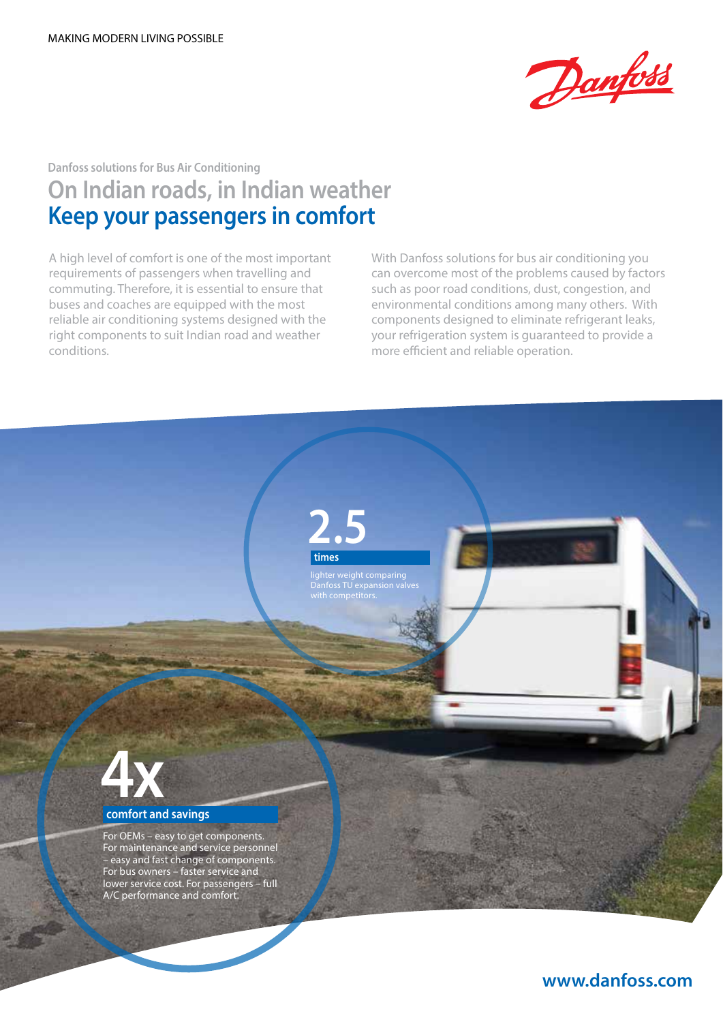

# **Danfoss solutions for Bus Air Conditioning On Indian roads, in Indian weather Keep your passengers in comfort**

A high level of comfort is one of the most important requirements of passengers when travelling and commuting. Therefore, it is essential to ensure that buses and coaches are equipped with the most reliable air conditioning systems designed with the right components to suit Indian road and weather conditions.

With Danfoss solutions for bus air conditioning you can overcome most of the problems caused by factors such as poor road conditions, dust, congestion, and environmental conditions among many others. With components designed to eliminate refrigerant leaks, your refrigeration system is guaranteed to provide a more efficient and reliable operation.

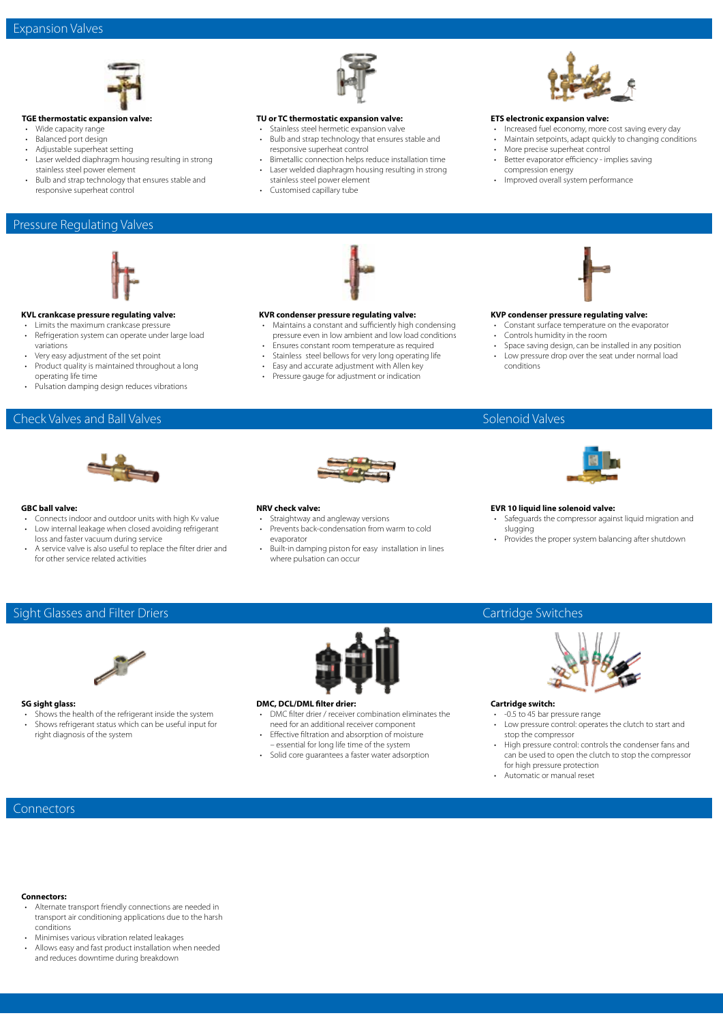

#### **TGE thermostatic expansion valve:**

- Wide capacity range
- Balanced port design
- Adjustable superheat setting
- Laser welded diaphragm housing resulting in strong stainless steel power element
- Bulb and strap technology that ensures stable and responsive superheat control

#### Pressure Regulating Valves



#### **KVL crankcase pressure regulating valve:**

- Limits the maximum crankcase pressure • Refrigeration system can operate under large load
- variations • Very easy adjustment of the set point
- Product quality is maintained throughout a long operating life time
- Pulsation damping design reduces vibrations

#### Check Valves and Ball Valves



#### **GBC ball valve:**

- Connects indoor and outdoor units with high Kv value Low internal leakage when closed avoiding refrigerant loss and faster vacuum during service
- A service valve is also useful to replace the filter drier and for other service related activities



#### **TU or TC thermostatic expansion valve:**

- Stainless steel hermetic expansion valve
- Bulb and strap technology that ensures stable and responsive superheat control
- Bimetallic connection helps reduce installation time • Laser welded diaphragm housing resulting in strong stainless steel power element
- Customised capillary tube



#### **ETS electronic expansion valve:**

- Increased fuel economy, more cost saving every day
- Maintain setpoints, adapt quickly to changing conditions
- More precise superheat control • Better evaporator efficiency - implies saving
- compression energy
- Improved overall system performance



#### **KVR condenser pressure regulating valve:**

- Maintains a constant and sufficiently high condensing pressure even in low ambient and low load conditions
- Ensures constant room temperature as required
- Stainless steel bellows for very long operating life
- Easy and accurate adjustment with Allen key
- Pressure gauge for adjustment or indication

- **KVP condenser pressure regulating valve:** • Constant surface temperature on the evaporator
- Controls humidity in the room
- 
- Space saving design, can be installed in any position Low pressure drop over the seat under normal load
- conditions



#### **NRV check valve:**

- Straightway and angleway versions
- Prevents back-condensation from warm to cold evaporator
- Built-in damping piston for easy installation in lines where pulsation can occur





#### **EVR 10 liquid line solenoid valve:**

- Safeguards the compressor against liquid migration and slugging
- Provides the proper system balancing after shutdown

### Sight Glasses and Filter Driers



#### **SG sight glass:**

- Shows the health of the refrigerant inside the system • Shows refrigerant status which can be useful input for
- right diagnosis of the system



#### **DMC, DCL/DML filter drier:**

- DMC filter drier / receiver combination eliminates the need for an additional receiver component
- Effective filtration and absorption of moisture
- essential for long life time of the system • Solid core guarantees a faster water adsorption

## Cartridge Switches



#### **Cartridge switch:**

- $\cdot$  -0.5 to 45 bar pressure range
- Low pressure control: operates the clutch to start and stop the compressor
- High pressure control: controls the condenser fans and can be used to open the clutch to stop the compressor for high pressure protection
- Automatic or manual reset

**Connectors** 

#### **Connectors:**

- Alternate transport friendly connections are needed in transport air conditioning applications due to the harsh conditions
- Minimises various vibration related leakages
- Allows easy and fast product installation when needed and reduces downtime during breakdown



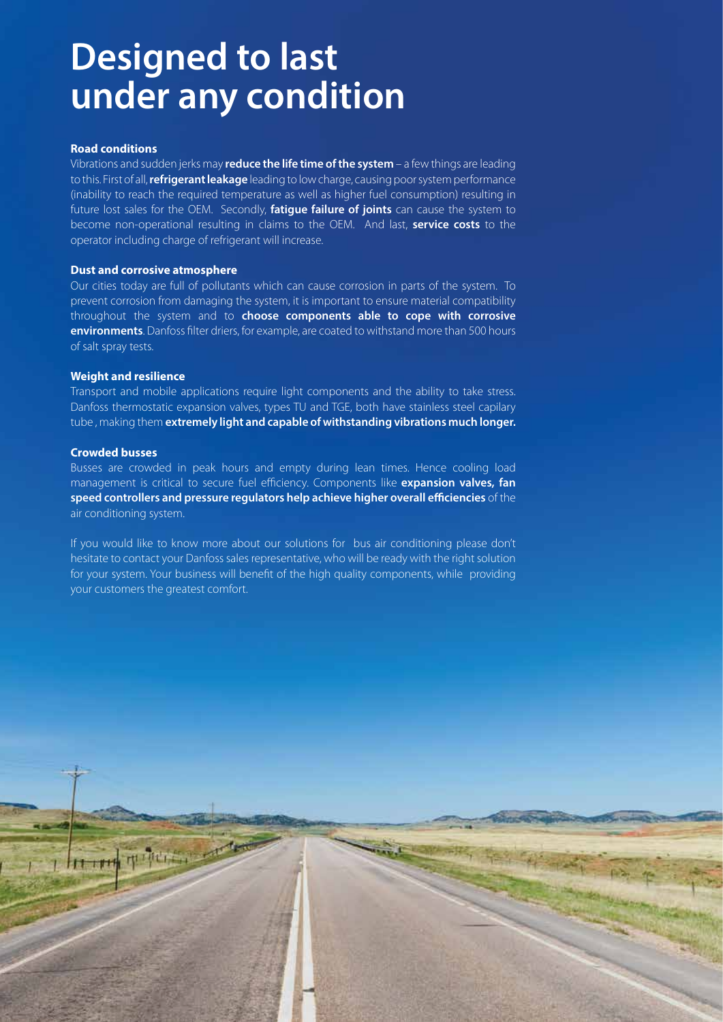# **Designed to last under any condition**

#### **Road conditions**

Vibrations and sudden jerks may **reduce the life time of the system** – a few things are leading to this. First of all, **refrigerant leakage** leading to low charge, causing poor system performance (inability to reach the required temperature as well as higher fuel consumption) resulting in future lost sales for the OEM. Secondly, **fatigue failure of joints** can cause the system to become non-operational resulting in claims to the OEM. And last, **service costs** to the operator including charge of refrigerant will increase.

#### **Dust and corrosive atmosphere**

市中市

Our cities today are full of pollutants which can cause corrosion in parts of the system. To prevent corrosion from damaging the system, it is important to ensure material compatibility throughout the system and to **choose components able to cope with corrosive environments**. Danfoss filter driers, for example, are coated to withstand more than 500 hours of salt spray tests.

#### **Weight and resilience**

Transport and mobile applications require light components and the ability to take stress. Danfoss thermostatic expansion valves, types TU and TGE, both have stainless steel capilary tube , making them **extremely light and capable of withstanding vibrations much longer.**

#### **Crowded busses**

Busses are crowded in peak hours and empty during lean times. Hence cooling load management is critical to secure fuel efficiency. Components like **expansion valves, fan speed controllers and pressure regulators help achieve higher overall efficiencies** of the air conditioning system.

If you would like to know more about our solutions for bus air conditioning please don't hesitate to contact your Danfoss sales representative, who will be ready with the right solution for your system. Your business will benefit of the high quality components, while providing your customers the greatest comfort.